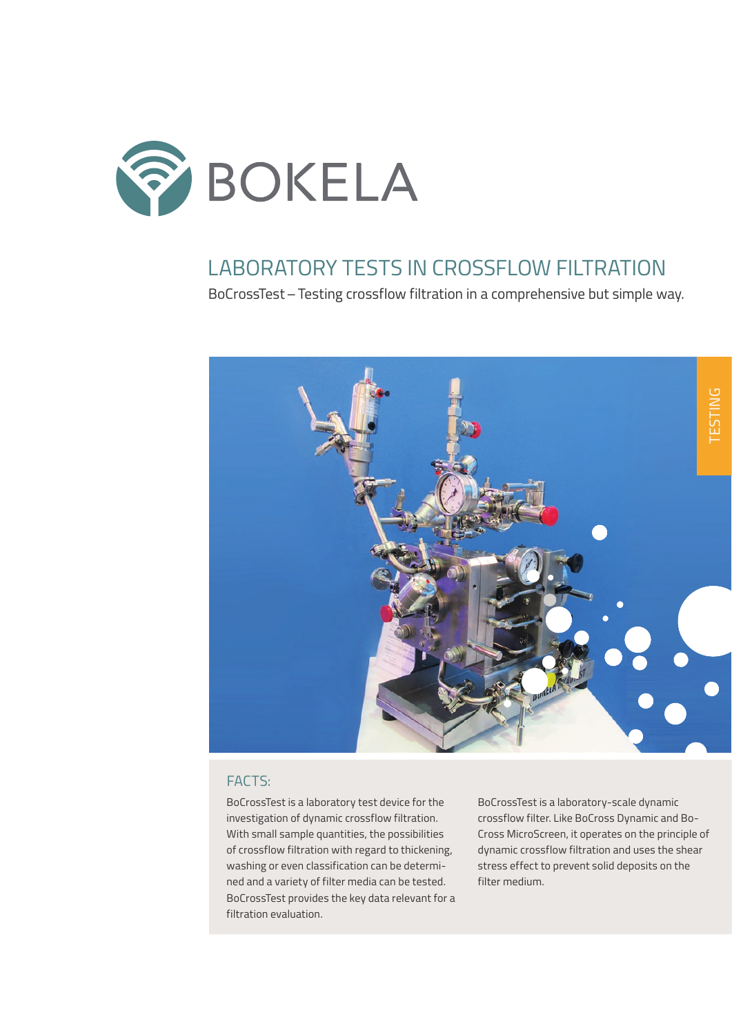

## LABORATORY TESTS IN CROSSELOW FILTRATION

BoCrossTest – Testing crossflow filtration in a comprehensive but simple way.



### FACTS:

BoCrossTest is a laboratory test device for the investigation of dynamic crossflow filtration. With small sample quantities, the possibilities of crossflow filtration with regard to thickening, washing or even classification can be determined and a variety of filter media can be tested. BoCrossTest provides the key data relevant for a filtration evaluation.

BoCrossTest is a laboratory-scale dynamic crossflow filter. Like BoCross Dynamic and Bo-Cross MicroScreen, it operates on the principle of dynamic crossflow filtration and uses the shear stress effect to prevent solid deposits on the filter medium.